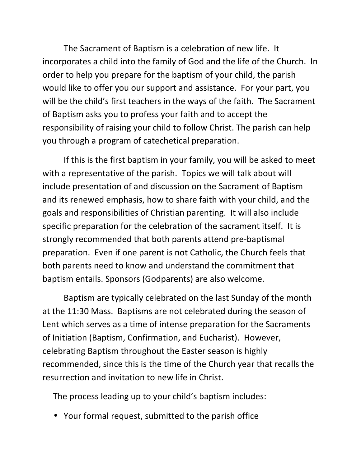The Sacrament of Baptism is a celebration of new life. It incorporates a child into the family of God and the life of the Church. In order to help you prepare for the baptism of your child, the parish would like to offer you our support and assistance. For your part, you will be the child's first teachers in the ways of the faith. The Sacrament of Baptism asks you to profess your faith and to accept the responsibility of raising your child to follow Christ. The parish can help you through a program of catechetical preparation.

If this is the first baptism in your family, you will be asked to meet with a representative of the parish. Topics we will talk about will include presentation of and discussion on the Sacrament of Baptism and its renewed emphasis, how to share faith with your child, and the goals and responsibilities of Christian parenting. It will also include specific preparation for the celebration of the sacrament itself. It is strongly recommended that both parents attend pre-baptismal preparation. Even if one parent is not Catholic, the Church feels that both parents need to know and understand the commitment that baptism entails. Sponsors (Godparents) are also welcome.

Baptism are typically celebrated on the last Sunday of the month at the 11:30 Mass. Baptisms are not celebrated during the season of Lent which serves as a time of intense preparation for the Sacraments of Initiation (Baptism, Confirmation, and Eucharist). However, celebrating Baptism throughout the Easter season is highly recommended, since this is the time of the Church year that recalls the resurrection and invitation to new life in Christ.

The process leading up to your child's baptism includes:

• Your formal request, submitted to the parish office